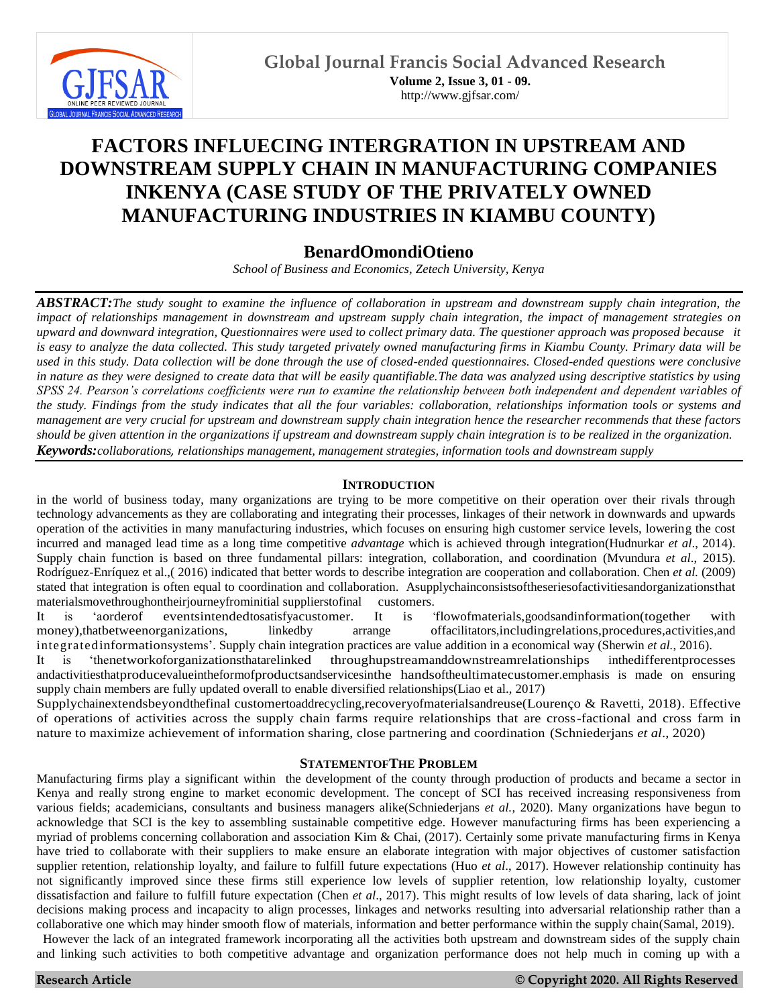

# **FACTORS INFLUECING INTERGRATION IN UPSTREAM AND DOWNSTREAM SUPPLY CHAIN IN MANUFACTURING COMPANIES INKENYA (CASE STUDY OF THE PRIVATELY OWNED MANUFACTURING INDUSTRIES IN KIAMBU COUNTY)**

# **BenardOmondiOtieno**

*School of Business and Economics, Zetech University, Kenya*

*ABSTRACT:The study sought to examine the influence of collaboration in upstream and downstream supply chain integration, the impact of relationships management in downstream and upstream supply chain integration, the impact of management strategies on upward and downward integration, Questionnaires were used to collect primary data. The questioner approach was proposed because it is easy to analyze the data collected. This study targeted privately owned manufacturing firms in Kiambu County. Primary data will be used in this study. Data collection will be done through the use of closed-ended questionnaires. Closed-ended questions were conclusive in nature as they were designed to create data that will be easily quantifiable.The data was analyzed using descriptive statistics by using SPSS 24. Pearson's correlations coefficients were run to examine the relationship between both independent and dependent variables of the study. Findings from the study indicates that all the four variables: collaboration, relationships information tools or systems and management are very crucial for upstream and downstream supply chain integration hence the researcher recommends that these factors should be given attention in the organizations if upstream and downstream supply chain integration is to be realized in the organization. Keywords:collaborations, relationships management, management strategies, information tools and downstream supply* 

# **INTRODUCTION**

in the world of business today, many organizations are trying to be more competitive on their operation over their rivals through technology advancements as they are collaborating and integrating their processes, linkages of their network in downwards and upwards operation of the activities in many manufacturing industries, which focuses on ensuring high customer service levels, lowering the cost incurred and managed lead time as a long time competitive *advantage* which is achieved through integration(Hudnurkar *et al*., 2014). Supply chain function is based on three fundamental pillars: integration, collaboration, and coordination (Mvundura *et al*., 2015). Rodríguez-Enríquez et al.,( 2016) indicated that better words to describe integration are cooperation and collaboration. Chen *et al.* (2009) stated that integration is often equal to coordination and collaboration*.* Asupplychainconsistsoftheseriesofactivitiesandorganizationsthat materialsmovethroughontheirjourneyfrominitial supplierstofinal customers.<br>It is 'aorderof eventsintendedtosatisfyacustomer. It is '

It is 'aorderof eventsintendedtosatisfyacustomer. It is 'flowofmaterials,goodsandinformation(together with money),thatbetweenorganizations, linkedby arrange offacilitators,includingrelations,procedures,activities,and

integratedinformationsystems'. Supply chain integration practices are value addition in a economical way (Sherwin *et al.*, 2016). It is 'thenetworkoforganizationsthatarelinked throughupstreamanddownstreamrelationships inthedifferentprocesses andactivitiesthatproducevalueintheformofproductsandservicesinthe handsoftheultimatecustomer.emphasis is made on ensuring supply chain members are fully updated overall to enable diversified relationships(Liao et al., 2017)

Supplychainextendsbeyondthefinal customertoaddrecycling,recoveryofmaterialsandreuse(Lourenço & Ravetti, 2018). Effective of operations of activities across the supply chain farms require relationships that are cross-factional and cross farm in nature to maximize achievement of information sharing, close partnering and coordination (Schniederjans *et al*., 2020)

# **STATEMENTOFTHE PROBLEM**

Manufacturing firms play a significant within the development of the county through production of products and became a sector in Kenya and really strong engine to market economic development. The concept of SCI has received increasing responsiveness from various fields; academicians, consultants and business managers alike(Schniederjans *et al.*, 2020). Many organizations have begun to acknowledge that SCI is the key to assembling sustainable competitive edge. However manufacturing firms has been experiencing a myriad of problems concerning collaboration and association Kim & Chai, (2017). Certainly some private manufacturing firms in Kenya have tried to collaborate with their suppliers to make ensure an elaborate integration with major objectives of customer satisfaction supplier retention, relationship loyalty, and failure to fulfill future expectations (Huo *et al*., 2017). However relationship continuity has not significantly improved since these firms still experience low levels of supplier retention, low relationship loyalty, customer dissatisfaction and failure to fulfill future expectation (Chen *et al*., 2017). This might results of low levels of data sharing, lack of joint decisions making process and incapacity to align processes, linkages and networks resulting into adversarial relationship rather than a collaborative one which may hinder smooth flow of materials, information and better performance within the supply chain(Samal, 2019).

However the lack of an integrated framework incorporating all the activities both upstream and downstream sides of the supply chain and linking such activities to both competitive advantage and organization performance does not help much in coming up with a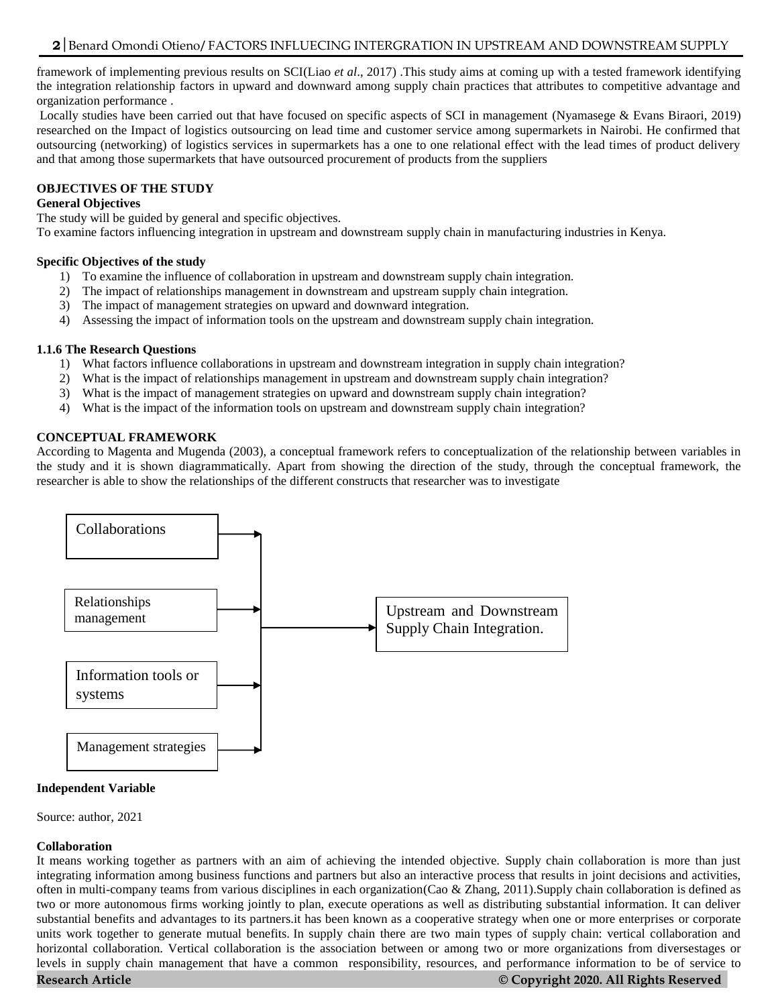framework of implementing previous results on SCI(Liao *et al*., 2017) .This study aims at coming up with a tested framework identifying the integration relationship factors in upward and downward among supply chain practices that attributes to competitive advantage and organization performance .

Locally studies have been carried out that have focused on specific aspects of SCI in management (Nyamasege & Evans Biraori, 2019) researched on the Impact of logistics outsourcing on lead time and customer service among supermarkets in Nairobi. He confirmed that outsourcing (networking) of logistics services in supermarkets has a one to one relational effect with the lead times of product delivery and that among those supermarkets that have outsourced procurement of products from the suppliers

# **OBJECTIVES OF THE STUDY**

# **General Objectives**

The study will be guided by general and specific objectives.

To examine factors influencing integration in upstream and downstream supply chain in manufacturing industries in Kenya.

# **Specific Objectives of the study**

- 1) To examine the influence of collaboration in upstream and downstream supply chain integration.
- 2) The impact of relationships management in downstream and upstream supply chain integration.
- 3) The impact of management strategies on upward and downward integration.
- 4) Assessing the impact of information tools on the upstream and downstream supply chain integration.

# **1.1.6 The Research Questions**

- 1) What factors influence collaborations in upstream and downstream integration in supply chain integration?
- 2) What is the impact of relationships management in upstream and downstream supply chain integration?
- 3) What is the impact of management strategies on upward and downstream supply chain integration?
- 4) What is the impact of the information tools on upstream and downstream supply chain integration?

# **CONCEPTUAL FRAMEWORK**

According to Magenta and Mugenda (2003), a conceptual framework refers to conceptualization of the relationship between variables in the study and it is shown diagrammatically. Apart from showing the direction of the study, through the conceptual framework, the researcher is able to show the relationships of the different constructs that researcher was to investigate



# **Independent Variable**

Source: author, 2021

# **Collaboration**

It means working together as partners with an aim of achieving the intended objective. Supply chain collaboration is more than just integrating information among business functions and partners but also an interactive process that results in joint decisions and activities, often in multi-company teams from various disciplines in each organization(Cao & Zhang, 2011).Supply chain collaboration is defined as two or more autonomous firms working jointly to plan, execute operations as well as distributing substantial information. It can deliver substantial benefits and advantages to its partners.it has been known as a cooperative strategy when one or more enterprises or corporate units work together to generate mutual benefits. In supply chain there are two main types of supply chain: vertical collaboration and horizontal collaboration. Vertical collaboration is the association between or among two or more organizations from diversestages or levels in supply chain management that have a common responsibility, resources, and performance information to be of service to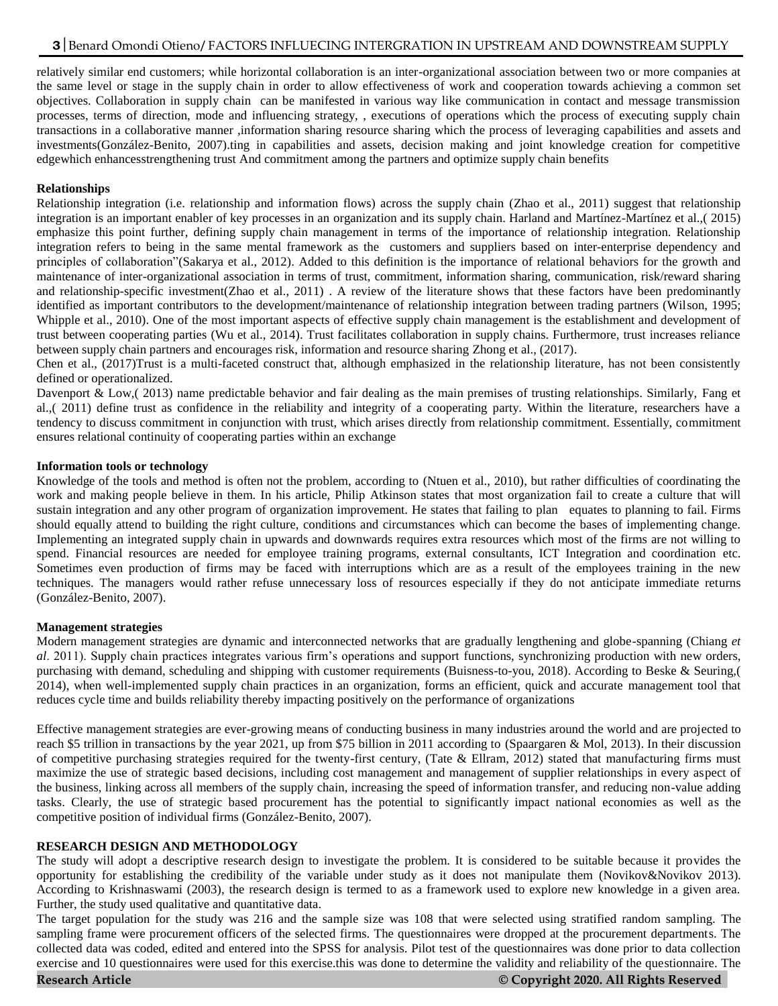relatively similar end customers; while horizontal collaboration is an inter-organizational association between two or more companies at the same level or stage in the supply chain in order to allow effectiveness of work and cooperation towards achieving a common set objectives. Collaboration in supply chain can be manifested in various way like communication in contact and message transmission processes, terms of direction, mode and influencing strategy, , executions of operations which the process of executing supply chain transactions in a collaborative manner ,information sharing resource sharing which the process of leveraging capabilities and assets and investments(González-Benito, 2007).ting in capabilities and assets, decision making and joint knowledge creation for competitive edgewhich enhancesstrengthening trust And commitment among the partners and optimize supply chain benefits

# **Relationships**

Relationship integration (i.e. relationship and information flows) across the supply chain (Zhao et al., 2011) suggest that relationship integration is an important enabler of key processes in an organization and its supply chain. Harland and Martínez-Martínez et al.,( 2015) emphasize this point further, defining supply chain management in terms of the importance of relationship integration. Relationship integration refers to being in the same mental framework as the customers and suppliers based on inter-enterprise dependency and principles of collaboration"(Sakarya et al., 2012). Added to this definition is the importance of relational behaviors for the growth and maintenance of inter-organizational association in terms of trust, commitment, information sharing, communication, risk/reward sharing and relationship-specific investment(Zhao et al., 2011) . A review of the literature shows that these factors have been predominantly identified as important contributors to the development/maintenance of relationship integration between trading partners (Wilson, 1995; Whipple et al., 2010). One of the most important aspects of effective supply chain management is the establishment and development of trust between cooperating parties (Wu et al., 2014). Trust facilitates collaboration in supply chains. Furthermore, trust increases reliance between supply chain partners and encourages risk, information and resource sharing Zhong et al., (2017).

Chen et al., (2017)Trust is a multi-faceted construct that, although emphasized in the relationship literature, has not been consistently defined or operationalized.

Davenport & Low,( 2013) name predictable behavior and fair dealing as the main premises of trusting relationships. Similarly, Fang et al.,( 2011) define trust as confidence in the reliability and integrity of a cooperating party. Within the literature, researchers have a tendency to discuss commitment in conjunction with trust, which arises directly from relationship commitment. Essentially, commitment ensures relational continuity of cooperating parties within an exchange

#### **Information tools or technology**

Knowledge of the tools and method is often not the problem, according to (Ntuen et al., 2010), but rather difficulties of coordinating the work and making people believe in them. In his article, Philip Atkinson states that most organization fail to create a culture that will sustain integration and any other program of organization improvement. He states that failing to plan equates to planning to fail. Firms should equally attend to building the right culture, conditions and circumstances which can become the bases of implementing change. Implementing an integrated supply chain in upwards and downwards requires extra resources which most of the firms are not willing to spend. Financial resources are needed for employee training programs, external consultants, ICT Integration and coordination etc. Sometimes even production of firms may be faced with interruptions which are as a result of the employees training in the new techniques. The managers would rather refuse unnecessary loss of resources especially if they do not anticipate immediate returns (González-Benito, 2007).

# **Management strategies**

Modern management strategies are dynamic and interconnected networks that are gradually lengthening and globe-spanning (Chiang *et al*. 2011). Supply chain practices integrates various firm's operations and support functions, synchronizing production with new orders, purchasing with demand, scheduling and shipping with customer requirements (Buisness-to-you, 2018). According to Beske & Seuring,( 2014), when well-implemented supply chain practices in an organization, forms an efficient, quick and accurate management tool that reduces cycle time and builds reliability thereby impacting positively on the performance of organizations

Effective management strategies are ever-growing means of conducting business in many industries around the world and are projected to reach \$5 trillion in transactions by the year 2021, up from \$75 billion in 2011 according to (Spaargaren & Mol, 2013). In their discussion of competitive purchasing strategies required for the twenty-first century, (Tate & Ellram, 2012) stated that manufacturing firms must maximize the use of strategic based decisions, including cost management and management of supplier relationships in every aspect of the business, linking across all members of the supply chain, increasing the speed of information transfer, and reducing non-value adding tasks. Clearly, the use of strategic based procurement has the potential to significantly impact national economies as well as the competitive position of individual firms (González-Benito, 2007).

# **RESEARCH DESIGN AND METHODOLOGY**

The study will adopt a descriptive research design to investigate the problem. It is considered to be suitable because it provides the opportunity for establishing the credibility of the variable under study as it does not manipulate them (Novikov&Novikov 2013). According to Krishnaswami (2003), the research design is termed to as a framework used to explore new knowledge in a given area. Further, the study used qualitative and quantitative data.

The target population for the study was 216 and the sample size was 108 that were selected using stratified random sampling. The sampling frame were procurement officers of the selected firms. The questionnaires were dropped at the procurement departments. The collected data was coded, edited and entered into the SPSS for analysis. Pilot test of the questionnaires was done prior to data collection exercise and 10 questionnaires were used for this exercise.this was done to determine the validity and reliability of the questionnaire. The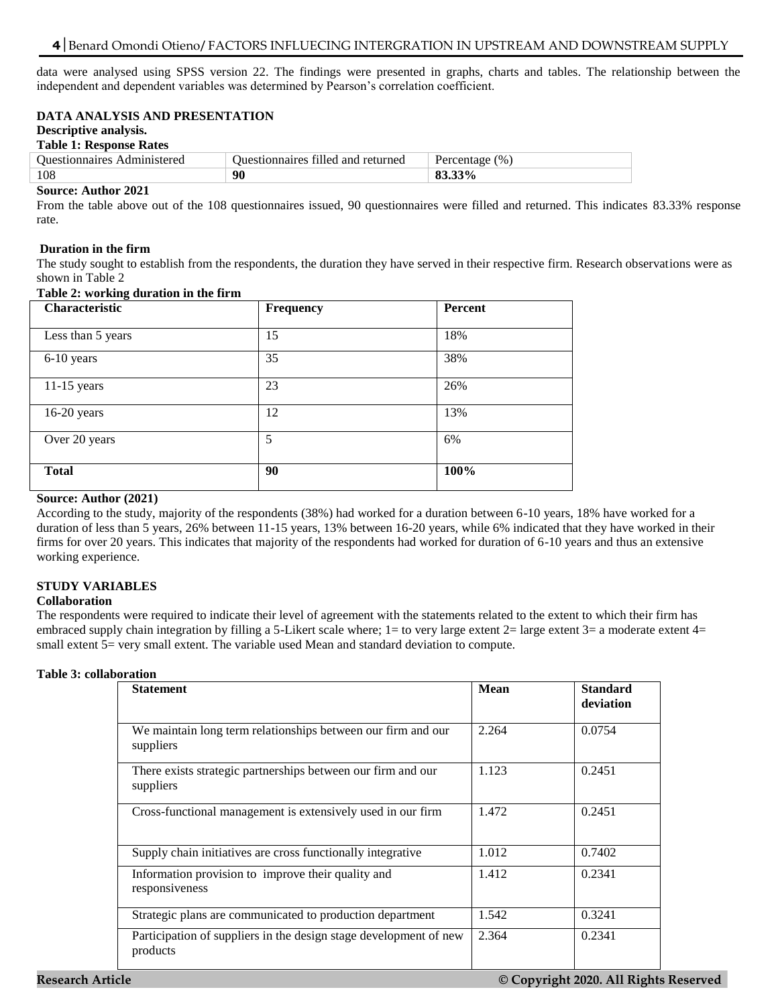# 4 Benard Omondi Otieno/ FACTORS INFLUECING INTERGRATION IN UPSTREAM AND DOWNSTREAM SUPPLY

data were analysed using SPSS version 22. The findings were presented in graphs, charts and tables. The relationship between the independent and dependent variables was determined by Pearson's correlation coefficient.

# **DATA ANALYSIS AND PRESENTATION**

#### **Descriptive analysis.**

### **Table 1: Response Rates**

| <b>Ouestionnaires</b><br>Administered | Duestionnaires filled and returned | (9)<br>Percentage |
|---------------------------------------|------------------------------------|-------------------|
| 108                                   | 90                                 |                   |

#### **Source: Author 2021**

From the table above out of the 108 questionnaires issued, 90 questionnaires were filled and returned. This indicates 83.33% response rate.

#### **Duration in the firm**

The study sought to establish from the respondents, the duration they have served in their respective firm. Research observations were as shown in Table 2

| $1400 \pm 7$      |           |         |  |
|-------------------|-----------|---------|--|
| Characteristic    | Frequency | Percent |  |
| Less than 5 years | 15        | 18%     |  |
| 6-10 years        | 35        | 38%     |  |
| $11-15$ years     | 23        | 26%     |  |
| $16-20$ years     | 12        | 13%     |  |
| Over 20 years     | 5         | 6%      |  |
| <b>Total</b>      | 90        | 100%    |  |

#### **Table 2: working duration in the firm**

# **Source: Author (2021)**

According to the study, majority of the respondents (38%) had worked for a duration between 6-10 years, 18% have worked for a duration of less than 5 years, 26% between 11-15 years, 13% between 16-20 years, while 6% indicated that they have worked in their firms for over 20 years. This indicates that majority of the respondents had worked for duration of 6-10 years and thus an extensive working experience.

# **STUDY VARIABLES**

# **Collaboration**

The respondents were required to indicate their level of agreement with the statements related to the extent to which their firm has embraced supply chain integration by filling a 5-Likert scale where;  $1=$  to very large extent  $2=$  large extent  $3=$  a moderate extent  $4=$ small extent 5= very small extent. The variable used Mean and standard deviation to compute.

#### **Table 3: collaboration**

| <b>Statement</b>                                                              | <b>Mean</b> | <b>Standard</b><br>deviation |
|-------------------------------------------------------------------------------|-------------|------------------------------|
| We maintain long term relationships between our firm and our<br>suppliers     | 2.264       | 0.0754                       |
| There exists strategic partnerships between our firm and our<br>suppliers     | 1.123       | 0.2451                       |
| Cross-functional management is extensively used in our firm                   | 1.472       | 0.2451                       |
| Supply chain initiatives are cross functionally integrative                   | 1.012       | 0.7402                       |
| Information provision to improve their quality and<br>responsiveness          | 1.412       | 0.2341                       |
| Strategic plans are communicated to production department                     | 1.542       | 0.3241                       |
| Participation of suppliers in the design stage development of new<br>products | 2.364       | 0.2341                       |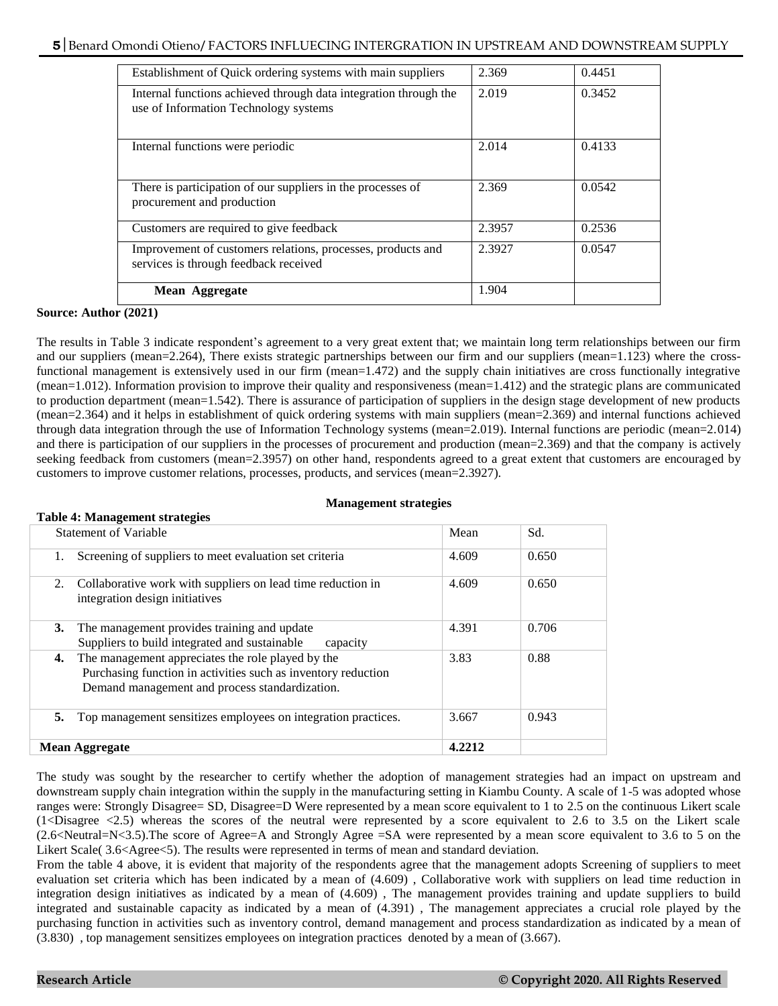| Establishment of Quick ordering systems with main suppliers                                               | 2.369  | 0.4451 |
|-----------------------------------------------------------------------------------------------------------|--------|--------|
| Internal functions achieved through data integration through the<br>use of Information Technology systems | 2.019  | 0.3452 |
| Internal functions were periodic                                                                          | 2.014  | 0.4133 |
| There is participation of our suppliers in the processes of<br>procurement and production                 | 2.369  | 0.0542 |
| Customers are required to give feedback                                                                   | 2.3957 | 0.2536 |
| Improvement of customers relations, processes, products and<br>services is through feedback received      | 2.3927 | 0.0547 |
| Mean Aggregate                                                                                            | 1.904  |        |

#### **Source: Author (2021)**

The results in Table 3 indicate respondent's agreement to a very great extent that; we maintain long term relationships between our firm and our suppliers (mean=2.264), There exists strategic partnerships between our firm and our suppliers (mean=1.123) where the crossfunctional management is extensively used in our firm (mean=1.472) and the supply chain initiatives are cross functionally integrative (mean=1.012). Information provision to improve their quality and responsiveness (mean=1.412) and the strategic plans are communicated to production department (mean=1.542). There is assurance of participation of suppliers in the design stage development of new products (mean=2.364) and it helps in establishment of quick ordering systems with main suppliers (mean=2.369) and internal functions achieved through data integration through the use of Information Technology systems (mean=2.019). Internal functions are periodic (mean=2.014) and there is participation of our suppliers in the processes of procurement and production (mean=2.369) and that the company is actively seeking feedback from customers (mean=2.3957) on other hand, respondents agreed to a great extent that customers are encouraged by customers to improve customer relations, processes, products, and services (mean=2.3927).

#### **Management strategies**

# **Table 4: Management strategies**

| <b>Statement of Variable</b>                                                                                                                                               | Mean   | Sd.   |  |
|----------------------------------------------------------------------------------------------------------------------------------------------------------------------------|--------|-------|--|
| Screening of suppliers to meet evaluation set criteria<br>1.                                                                                                               | 4.609  | 0.650 |  |
| Collaborative work with suppliers on lead time reduction in<br>2.<br>integration design initiatives                                                                        | 4.609  | 0.650 |  |
| The management provides training and update<br>3.<br>Suppliers to build integrated and sustainable<br>capacity                                                             | 4.391  | 0.706 |  |
| The management appreciates the role played by the<br>4.<br>Purchasing function in activities such as inventory reduction<br>Demand management and process standardization. | 3.83   | 0.88  |  |
| Top management sensitizes employees on integration practices.<br>5.                                                                                                        | 3.667  | 0.943 |  |
| <b>Mean Aggregate</b>                                                                                                                                                      | 4.2212 |       |  |

The study was sought by the researcher to certify whether the adoption of management strategies had an impact on upstream and downstream supply chain integration within the supply in the manufacturing setting in Kiambu County. A scale of 1-5 was adopted whose ranges were: Strongly Disagree= SD, Disagree=D Were represented by a mean score equivalent to 1 to 2.5 on the continuous Likert scale  $(1<sub>0</sub> - 2.5)$  whereas the scores of the neutral were represented by a score equivalent to 2.6 to 3.5 on the Likert scale (2.6<Neutral=N<3.5).The score of Agree=A and Strongly Agree =SA were represented by a mean score equivalent to 3.6 to 5 on the Likert Scale( 3.6<Agree<5). The results were represented in terms of mean and standard deviation.

From the table 4 above, it is evident that majority of the respondents agree that the management adopts Screening of suppliers to meet evaluation set criteria which has been indicated by a mean of (4.609) , Collaborative work with suppliers on lead time reduction in integration design initiatives as indicated by a mean of (4.609) , The management provides training and update suppliers to build integrated and sustainable capacity as indicated by a mean of (4.391) , The management appreciates a crucial role played by the purchasing function in activities such as inventory control, demand management and process standardization as indicated by a mean of (3.830) , top management sensitizes employees on integration practices denoted by a mean of (3.667).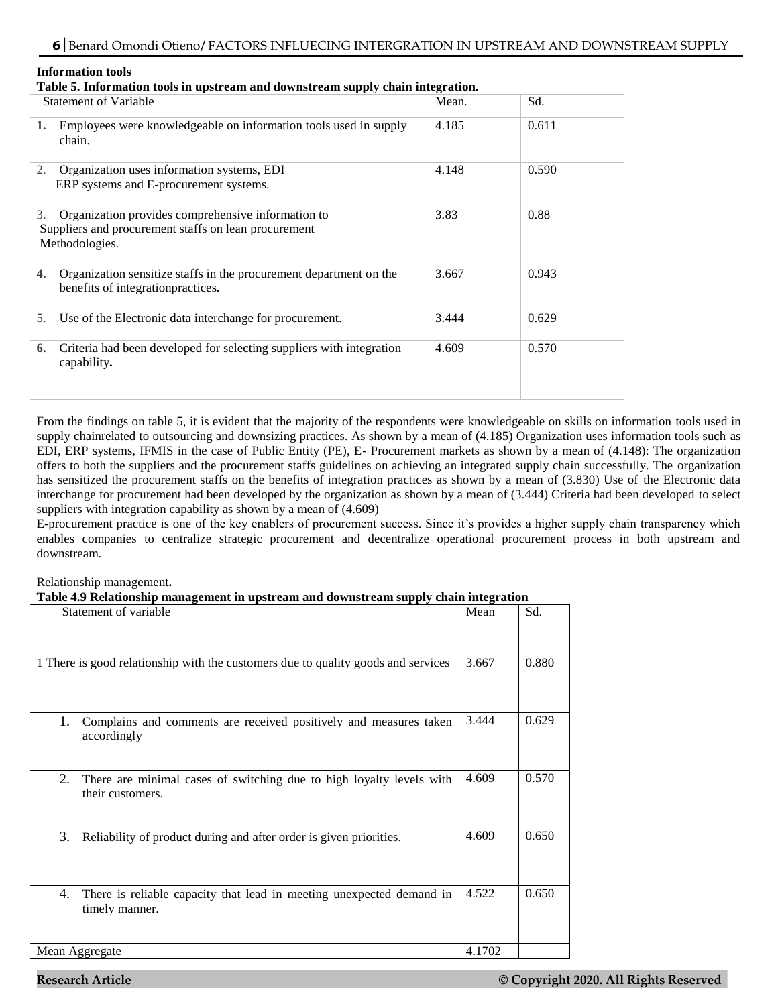#### **Information tools**

**Table 5. Information tools in upstream and downstream supply chain integration.**

| <b>Statement of Variable</b>                                                                                                       | Mean. | Sd.   |
|------------------------------------------------------------------------------------------------------------------------------------|-------|-------|
| Employees were knowledgeable on information tools used in supply<br>1.<br>chain.                                                   | 4.185 | 0.611 |
| Organization uses information systems, EDI<br>2.<br>ERP systems and E-procurement systems.                                         | 4.148 | 0.590 |
| Organization provides comprehensive information to<br>3.<br>Suppliers and procurement staffs on lean procurement<br>Methodologies. | 3.83  | 0.88  |
| Organization sensitize staffs in the procurement department on the<br>4.<br>benefits of integration practices.                     | 3.667 | 0.943 |
| Use of the Electronic data interchange for procurement.<br>5.                                                                      | 3.444 | 0.629 |
| Criteria had been developed for selecting suppliers with integration<br>6.<br>capability.                                          | 4.609 | 0.570 |

From the findings on table 5, it is evident that the majority of the respondents were knowledgeable on skills on information tools used in supply chainrelated to outsourcing and downsizing practices. As shown by a mean of (4.185) Organization uses information tools such as EDI, ERP systems, IFMIS in the case of Public Entity (PE), E- Procurement markets as shown by a mean of (4.148): The organization offers to both the suppliers and the procurement staffs guidelines on achieving an integrated supply chain successfully. The organization has sensitized the procurement staffs on the benefits of integration practices as shown by a mean of (3.830) Use of the Electronic data interchange for procurement had been developed by the organization as shown by a mean of (3.444) Criteria had been developed to select suppliers with integration capability as shown by a mean of (4.609)

E-procurement practice is one of the key enablers of procurement success. Since it's provides a higher supply chain transparency which enables companies to centralize strategic procurement and decentralize operational procurement process in both upstream and downstream.

Relationship management**.** 

**Table 4.9 Relationship management in upstream and downstream supply chain integration**

| Statement of variable                                                                          | Mean   | Sd.   |
|------------------------------------------------------------------------------------------------|--------|-------|
| 1 There is good relationship with the customers due to quality goods and services              | 3.667  | 0.880 |
| 1.<br>Complains and comments are received positively and measures taken<br>accordingly         | 3.444  | 0.629 |
| 2.<br>There are minimal cases of switching due to high loyalty levels with<br>their customers. | 4.609  | 0.570 |
| Reliability of product during and after order is given priorities.<br>3.                       | 4.609  | 0.650 |
| There is reliable capacity that lead in meeting unexpected demand in<br>4.<br>timely manner.   | 4.522  | 0.650 |
| Mean Aggregate                                                                                 | 4.1702 |       |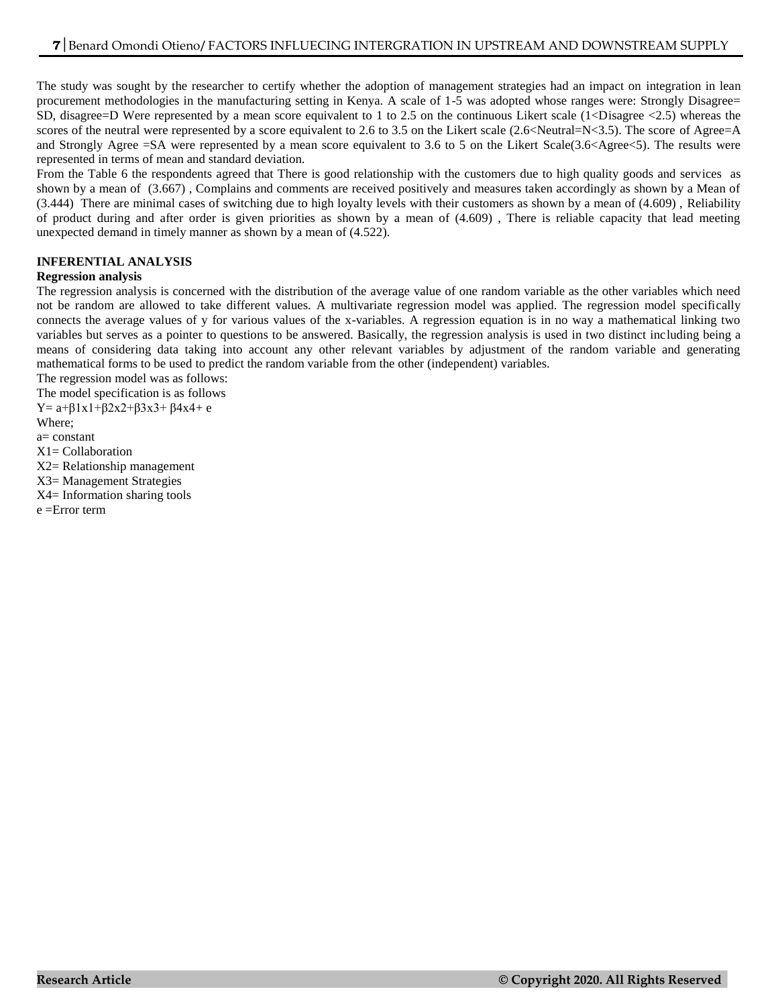The study was sought by the researcher to certify whether the adoption of management strategies had an impact on integration in lean procurement methodologies in the manufacturing setting in Kenya. A scale of 1-5 was adopted whose ranges were: Strongly Disagree= SD, disagree=D Were represented by a mean score equivalent to 1 to 2.5 on the continuous Likert scale (1<Disagree <2.5) whereas the scores of the neutral were represented by a score equivalent to 2.6 to 3.5 on the Likert scale (2.6<Neutral=N<3.5). The score of Agree=A and Strongly Agree =SA were represented by a mean score equivalent to 3.6 to 5 on the Likert Scale(3.6<Agree<5). The results were represented in terms of mean and standard deviation.

From the Table 6 the respondents agreed that There is good relationship with the customers due to high quality goods and services as shown by a mean of (3.667) , Complains and comments are received positively and measures taken accordingly as shown by a Mean of (3.444) There are minimal cases of switching due to high loyalty levels with their customers as shown by a mean of (4.609) , Reliability of product during and after order is given priorities as shown by a mean of (4.609) , There is reliable capacity that lead meeting unexpected demand in timely manner as shown by a mean of (4.522).

# **INFERENTIAL ANALYSIS**

# **Regression analysis**

The regression analysis is concerned with the distribution of the average value of one random variable as the other variables which need not be random are allowed to take different values. A multivariate regression model was applied. The regression model specifically connects the average values of y for various values of the x-variables. A regression equation is in no way a mathematical linking two variables but serves as a pointer to questions to be answered. Basically, the regression analysis is used in two distinct including being a means of considering data taking into account any other relevant variables by adjustment of the random variable and generating mathematical forms to be used to predict the random variable from the other (independent) variables.

The regression model was as follows:

The model specification is as follows Y=  $a+β1x1+β2x2+β3x3+β4x4+ e$ 

Where;

a= constant

 $X1 =$  Collaboration

X2= Relationship management

X3= Management Strategies

X4= Information sharing tools

e =Error term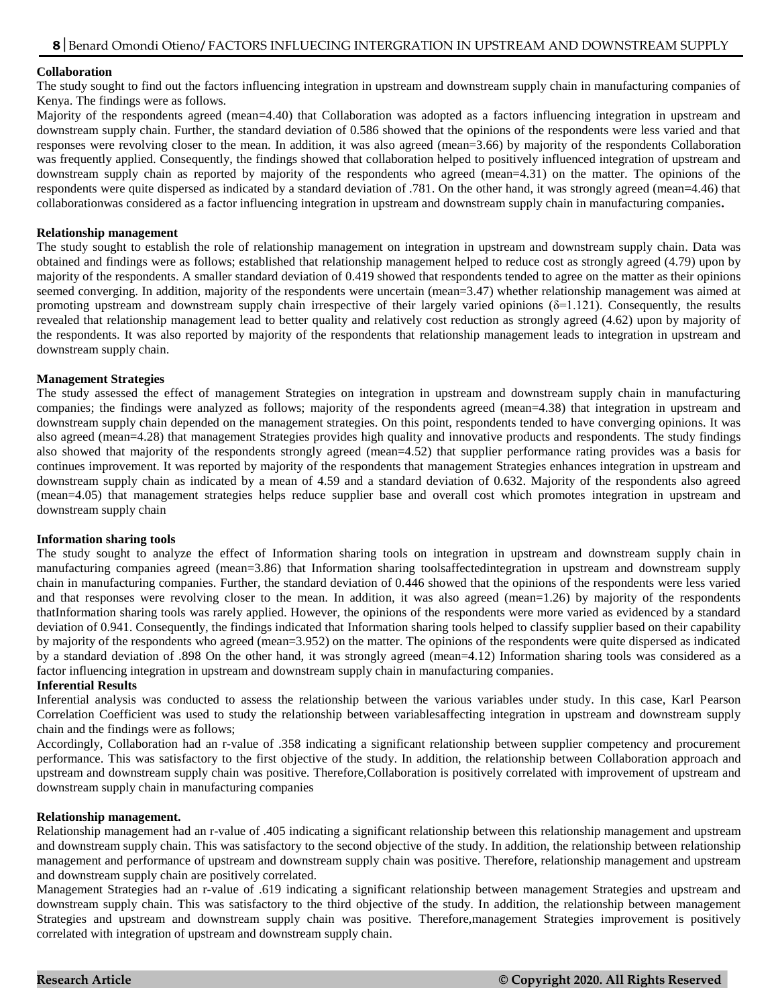#### **Collaboration**

The study sought to find out the factors influencing integration in upstream and downstream supply chain in manufacturing companies of Kenya. The findings were as follows.

Majority of the respondents agreed (mean=4.40) that Collaboration was adopted as a factors influencing integration in upstream and downstream supply chain. Further, the standard deviation of 0.586 showed that the opinions of the respondents were less varied and that responses were revolving closer to the mean. In addition, it was also agreed (mean=3.66) by majority of the respondents Collaboration was frequently applied. Consequently, the findings showed that collaboration helped to positively influenced integration of upstream and downstream supply chain as reported by majority of the respondents who agreed (mean=4.31) on the matter. The opinions of the respondents were quite dispersed as indicated by a standard deviation of .781. On the other hand, it was strongly agreed (mean=4.46) that collaborationwas considered as a factor influencing integration in upstream and downstream supply chain in manufacturing companies**.**

#### **Relationship management**

The study sought to establish the role of relationship management on integration in upstream and downstream supply chain. Data was obtained and findings were as follows; established that relationship management helped to reduce cost as strongly agreed (4.79) upon by majority of the respondents. A smaller standard deviation of 0.419 showed that respondents tended to agree on the matter as their opinions seemed converging. In addition, majority of the respondents were uncertain (mean=3.47) whether relationship management was aimed at promoting upstream and downstream supply chain irrespective of their largely varied opinions (δ=1.121). Consequently, the results revealed that relationship management lead to better quality and relatively cost reduction as strongly agreed (4.62) upon by majority of the respondents. It was also reported by majority of the respondents that relationship management leads to integration in upstream and downstream supply chain.

#### **Management Strategies**

The study assessed the effect of management Strategies on integration in upstream and downstream supply chain in manufacturing companies; the findings were analyzed as follows; majority of the respondents agreed (mean=4.38) that integration in upstream and downstream supply chain depended on the management strategies. On this point, respondents tended to have converging opinions. It was also agreed (mean=4.28) that management Strategies provides high quality and innovative products and respondents. The study findings also showed that majority of the respondents strongly agreed (mean=4.52) that supplier performance rating provides was a basis for continues improvement. It was reported by majority of the respondents that management Strategies enhances integration in upstream and downstream supply chain as indicated by a mean of 4.59 and a standard deviation of 0.632. Majority of the respondents also agreed (mean=4.05) that management strategies helps reduce supplier base and overall cost which promotes integration in upstream and downstream supply chain

#### **Information sharing tools**

The study sought to analyze the effect of Information sharing tools on integration in upstream and downstream supply chain in manufacturing companies agreed (mean=3.86) that Information sharing toolsaffectedintegration in upstream and downstream supply chain in manufacturing companies. Further, the standard deviation of 0.446 showed that the opinions of the respondents were less varied and that responses were revolving closer to the mean. In addition, it was also agreed (mean=1.26) by majority of the respondents thatInformation sharing tools was rarely applied. However, the opinions of the respondents were more varied as evidenced by a standard deviation of 0.941. Consequently, the findings indicated that Information sharing tools helped to classify supplier based on their capability by majority of the respondents who agreed (mean=3.952) on the matter. The opinions of the respondents were quite dispersed as indicated by a standard deviation of .898 On the other hand, it was strongly agreed (mean=4.12) Information sharing tools was considered as a factor influencing integration in upstream and downstream supply chain in manufacturing companies.

#### **Inferential Results**

Inferential analysis was conducted to assess the relationship between the various variables under study. In this case, Karl Pearson Correlation Coefficient was used to study the relationship between variablesaffecting integration in upstream and downstream supply chain and the findings were as follows;

Accordingly, Collaboration had an r-value of .358 indicating a significant relationship between supplier competency and procurement performance. This was satisfactory to the first objective of the study. In addition, the relationship between Collaboration approach and upstream and downstream supply chain was positive. Therefore,Collaboration is positively correlated with improvement of upstream and downstream supply chain in manufacturing companies

#### **Relationship management.**

Relationship management had an r-value of .405 indicating a significant relationship between this relationship management and upstream and downstream supply chain. This was satisfactory to the second objective of the study. In addition, the relationship between relationship management and performance of upstream and downstream supply chain was positive. Therefore, relationship management and upstream and downstream supply chain are positively correlated.

Management Strategies had an r-value of .619 indicating a significant relationship between management Strategies and upstream and downstream supply chain. This was satisfactory to the third objective of the study. In addition, the relationship between management Strategies and upstream and downstream supply chain was positive. Therefore,management Strategies improvement is positively correlated with integration of upstream and downstream supply chain.